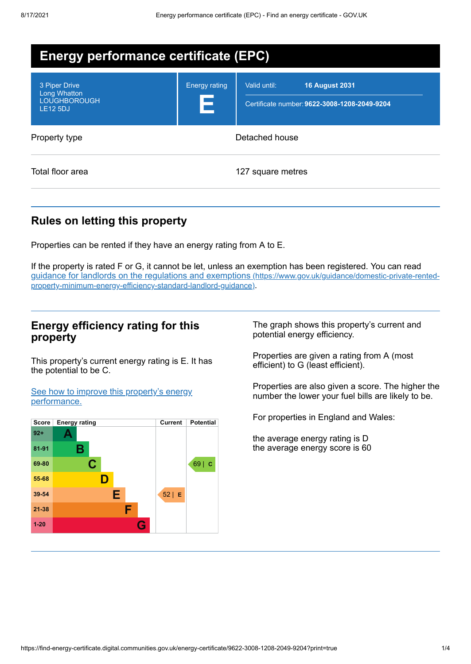| <b>Energy performance certificate (EPC)</b>                                    |                           |                                                                                       |  |  |
|--------------------------------------------------------------------------------|---------------------------|---------------------------------------------------------------------------------------|--|--|
| 3 Piper Drive<br><b>Long Whatton</b><br><b>LOUGHBOROUGH</b><br><b>LE12 5DJ</b> | <b>Energy rating</b><br>Е | <b>16 August 2031</b><br>Valid until:<br>Certificate number: 9622-3008-1208-2049-9204 |  |  |
| Property type                                                                  | Detached house            |                                                                                       |  |  |
| Total floor area                                                               |                           | 127 square metres                                                                     |  |  |

## **Rules on letting this property**

Properties can be rented if they have an energy rating from A to E.

If the property is rated F or G, it cannot be let, unless an exemption has been registered. You can read guidance for landlords on the regulations and exemptions (https://www.gov.uk/guidance/domestic-private-rented[property-minimum-energy-efficiency-standard-landlord-guidance\)](https://www.gov.uk/guidance/domestic-private-rented-property-minimum-energy-efficiency-standard-landlord-guidance).

### **Energy efficiency rating for this property**

This property's current energy rating is E. It has the potential to be C.

See how to improve this property's energy [performance.](#page-2-0)



The graph shows this property's current and potential energy efficiency.

Properties are given a rating from A (most efficient) to G (least efficient).

Properties are also given a score. The higher the number the lower your fuel bills are likely to be.

For properties in England and Wales:

the average energy rating is D the average energy score is 60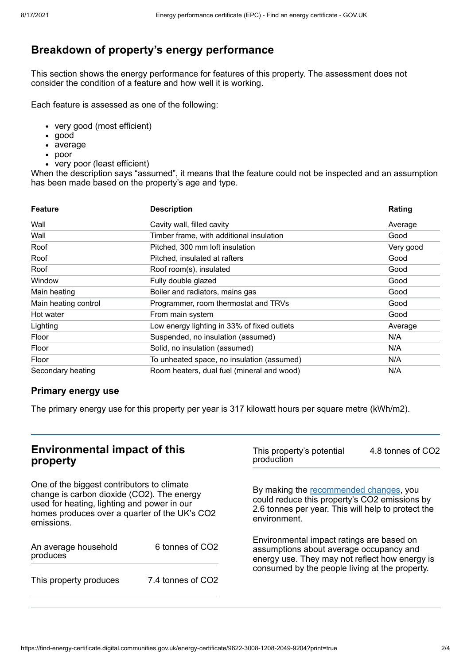# **Breakdown of property's energy performance**

This section shows the energy performance for features of this property. The assessment does not consider the condition of a feature and how well it is working.

Each feature is assessed as one of the following:

- very good (most efficient)
- good
- average
- poor
- very poor (least efficient)

When the description says "assumed", it means that the feature could not be inspected and an assumption has been made based on the property's age and type.

| <b>Feature</b>       | <b>Description</b>                          | Rating    |
|----------------------|---------------------------------------------|-----------|
| Wall                 | Cavity wall, filled cavity                  | Average   |
| Wall                 | Timber frame, with additional insulation    | Good      |
| Roof                 | Pitched, 300 mm loft insulation             | Very good |
| Roof                 | Pitched, insulated at rafters               | Good      |
| Roof                 | Roof room(s), insulated                     | Good      |
| Window               | Fully double glazed                         | Good      |
| Main heating         | Boiler and radiators, mains gas             | Good      |
| Main heating control | Programmer, room thermostat and TRVs        | Good      |
| Hot water            | From main system                            | Good      |
| Lighting             | Low energy lighting in 33% of fixed outlets | Average   |
| Floor                | Suspended, no insulation (assumed)          | N/A       |
| Floor                | Solid, no insulation (assumed)              | N/A       |
| Floor                | To unheated space, no insulation (assumed)  | N/A       |
| Secondary heating    | Room heaters, dual fuel (mineral and wood)  | N/A       |

#### **Primary energy use**

The primary energy use for this property per year is 317 kilowatt hours per square metre (kWh/m2).

## **Environmental impact of this property**

One of the biggest contributors to climate change is carbon dioxide (CO2). The energy used for heating, lighting and power in our homes produces over a quarter of the UK's CO2 emissions.

| An average household<br>produces | 6 tonnes of CO2   |  |
|----------------------------------|-------------------|--|
| This property produces           | 7.4 tonnes of CO2 |  |

This property's potential production 4.8 tonnes of CO2

By making the [recommended](#page-2-0) changes, you could reduce this property's CO2 emissions by 2.6 tonnes per year. This will help to protect the environment.

Environmental impact ratings are based on assumptions about average occupancy and energy use. They may not reflect how energy is consumed by the people living at the property.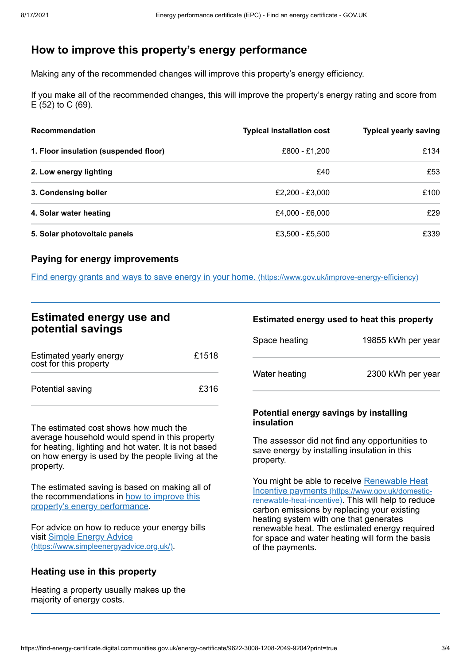## <span id="page-2-0"></span>**How to improve this property's energy performance**

Making any of the recommended changes will improve this property's energy efficiency.

If you make all of the recommended changes, this will improve the property's energy rating and score from E (52) to C (69).

| <b>Recommendation</b>                 | <b>Typical installation cost</b> | <b>Typical yearly saving</b> |
|---------------------------------------|----------------------------------|------------------------------|
| 1. Floor insulation (suspended floor) | £800 - £1,200                    | £134                         |
| 2. Low energy lighting                | £40                              | £53                          |
| 3. Condensing boiler                  | £2,200 - £3,000                  | £100                         |
| 4. Solar water heating                | £4,000 - £6,000                  | £29                          |
| 5. Solar photovoltaic panels          | £3,500 - £5,500                  | £339                         |

#### **Paying for energy improvements**

Find energy grants and ways to save energy in your home. [\(https://www.gov.uk/improve-energy-efficiency\)](https://www.gov.uk/improve-energy-efficiency)

### **Estimated energy use and potential savings**

| Estimated yearly energy<br>cost for this property | £1518 |
|---------------------------------------------------|-------|
| Potential saving                                  | £316  |

The estimated cost shows how much the average household would spend in this property for heating, lighting and hot water. It is not based on how energy is used by the people living at the property.

The estimated saving is based on making all of the [recommendations](#page-2-0) in how to improve this property's energy performance.

For advice on how to reduce your energy bills visit Simple Energy Advice [\(https://www.simpleenergyadvice.org.uk/\)](https://www.simpleenergyadvice.org.uk/).

### **Heating use in this property**

Heating a property usually makes up the majority of energy costs.

#### **Estimated energy used to heat this property**

| Space heating | 19855 kWh per year |
|---------------|--------------------|
| Water heating | 2300 kWh per year  |

#### **Potential energy savings by installing insulation**

The assessor did not find any opportunities to save energy by installing insulation in this property.

You might be able to receive Renewable Heat Incentive payments [\(https://www.gov.uk/domestic](https://www.gov.uk/domestic-renewable-heat-incentive)renewable-heat-incentive). This will help to reduce carbon emissions by replacing your existing heating system with one that generates renewable heat. The estimated energy required for space and water heating will form the basis of the payments.